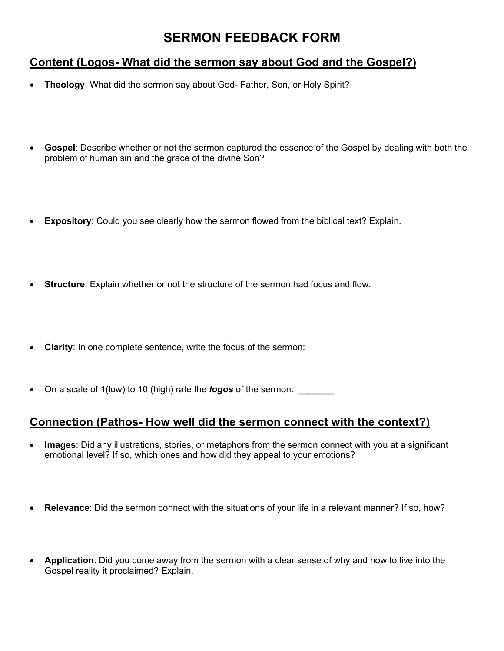## **SERMON FEEDBACK FORM**

## **Content (Logos- What did the sermon say about God and the Gospel?)**

- **Theology**: What did the sermon say about God- Father, Son, or Holy Spirit?
- **Gospel**: Describe whether or not the sermon captured the essence of the Gospel by dealing with both the problem of human sin and the grace of the divine Son?
- **Expository**: Could you see clearly how the sermon flowed from the biblical text? Explain.
- **Structure**: Explain whether or not the structure of the sermon had focus and flow.
- **Clarity**: In one complete sentence, write the focus of the sermon:
- On a scale of 1(low) to 10 (high) rate the *logos* of the sermon:

## **Connection (Pathos- How well did the sermon connect with the context?)**

- **Images**: Did any illustrations, stories, or metaphors from the sermon connect with you at a significant emotional level? If so, which ones and how did they appeal to your emotions?
- **Relevance**: Did the sermon connect with the situations of your life in a relevant manner? If so, how?
- **Application**: Did you come away from the sermon with a clear sense of why and how to live into the Gospel reality it proclaimed? Explain.